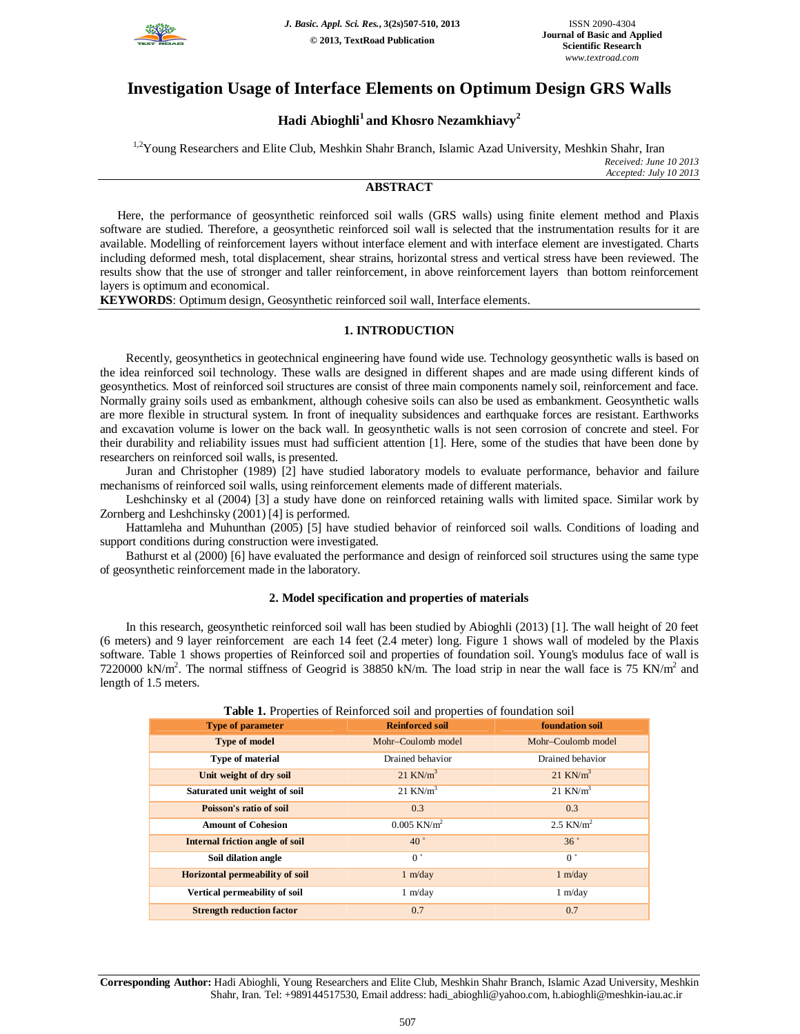

## **Investigation Usage of Interface Elements on Optimum Design GRS Walls**

# **Hadi Abioghli<sup>1</sup>and Khosro Nezamkhiavy<sup>2</sup>**

**ABSTRACT**

<sup>1,2</sup>Young Researchers and Elite Club, Meshkin Shahr Branch, Islamic Azad University, Meshkin Shahr, Iran *Received: June 10 2013 Accepted: July 10 2013*

Here, the performance of geosynthetic reinforced soil walls (GRS walls) using finite element method and Plaxis software are studied. Therefore, a geosynthetic reinforced soil wall is selected that the instrumentation results for it are available. Modelling of reinforcement layers without interface element and with interface element are investigated. Charts including deformed mesh, total displacement, shear strains, horizontal stress and vertical stress have been reviewed. The results show that the use of stronger and taller reinforcement, in above reinforcement layers than bottom reinforcement layers is optimum and economical.

**KEYWORDS**: Optimum design, Geosynthetic reinforced soil wall, Interface elements.

### **1. INTRODUCTION**

Recently, geosynthetics in geotechnical engineering have found wide use. Technology geosynthetic walls is based on the idea reinforced soil technology. These walls are designed in different shapes and are made using different kinds of geosynthetics. Most of reinforced soil structures are consist of three main components namely soil, reinforcement and face. Normally grainy soils used as embankment, although cohesive soils can also be used as embankment. Geosynthetic walls are more flexible in structural system. In front of inequality subsidences and earthquake forces are resistant. Earthworks and excavation volume is lower on the back wall. In geosynthetic walls is not seen corrosion of concrete and steel. For their durability and reliability issues must had sufficient attention [1]. Here, some of the studies that have been done by researchers on reinforced soil walls, is presented.

Juran and Christopher (1989) [2] have studied laboratory models to evaluate performance, behavior and failure mechanisms of reinforced soil walls, using reinforcement elements made of different materials.

Leshchinsky et al (2004) [3] a study have done on reinforced retaining walls with limited space. Similar work by Zornberg and Leshchinsky (2001) [4] is performed.

Hattamleha and Muhunthan (2005) [5] have studied behavior of reinforced soil walls. Conditions of loading and support conditions during construction were investigated.

Bathurst et al (2000) [6] have evaluated the performance and design of reinforced soil structures using the same type of geosynthetic reinforcement made in the laboratory.

### **2. Model specification and properties of materials**

In this research, geosynthetic reinforced soil wall has been studied by Abioghli (2013) [1]. The wall height of 20 feet (6 meters) and 9 layer reinforcement are each 14 feet (2.4 meter) long. Figure 1 shows wall of modeled by the Plaxis software. Table 1 shows properties of Reinforced soil and properties of foundation soil. Young's modulus face of wall is 7220000 kN/m<sup>2</sup>. The normal stiffness of Geogrid is 38850 kN/m. The load strip in near the wall face is 75 KN/m<sup>2</sup> and length of 1.5 meters.

| <b>Type of parameter</b>               | <b>Reinforced soil</b>    | foundation soil         |
|----------------------------------------|---------------------------|-------------------------|
| <b>Type of model</b>                   | Mohr-Coulomb model        | Mohr-Coulomb model      |
| Type of material                       | Drained behavior          | Drained behavior        |
| Unit weight of dry soil                | $21$ KN/m <sup>3</sup>    | $21$ KN/m <sup>3</sup>  |
| Saturated unit weight of soil          | $21$ KN/m <sup>3</sup>    | $21$ KN/ $m3$           |
| Poisson's ratio of soil                | 0.3                       | 0.3                     |
| <b>Amount of Cohesion</b>              | $0.005$ KN/m <sup>2</sup> | $2.5$ KN/m <sup>2</sup> |
| <b>Internal friction angle of soil</b> | 40°                       | 36°                     |
| Soil dilation angle                    | 0 <sup>°</sup>            | 0 <sup>°</sup>          |
| <b>Horizontal permeability of soil</b> | 1 m/day                   | 1 m/day                 |
| Vertical permeability of soil          | 1 m/day                   | 1 m/day                 |
| <b>Strength reduction factor</b>       | 0.7                       | 0.7                     |

**Table 1.** Properties of Reinforced soil and properties of foundation soil

**Corresponding Author:** Hadi Abioghli, Young Researchers and Elite Club, Meshkin Shahr Branch, Islamic Azad University, Meshkin Shahr, Iran. Tel: +989144517530, Email address: hadi\_abioghli@yahoo.com, h.abioghli@meshkin-iau.ac.ir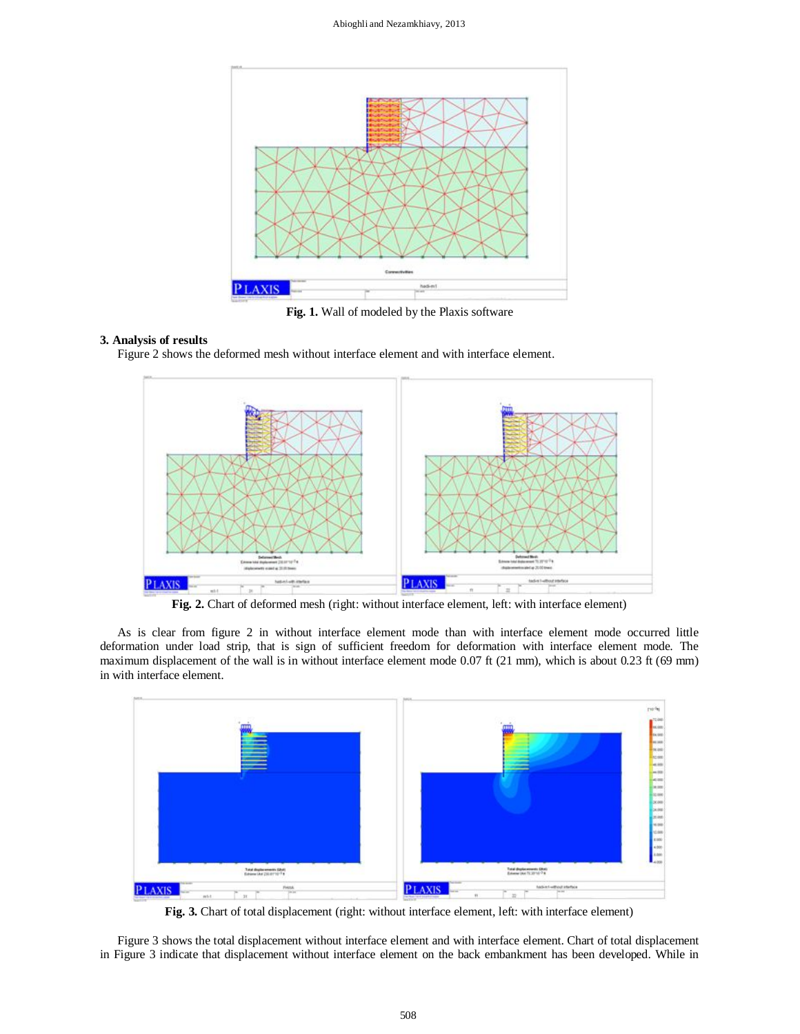

**Fig. 1.** Wall of modeled by the Plaxis software

## **3. Analysis of results**

Figure 2 shows the deformed mesh without interface element and with interface element.



Fig. 2. Chart of deformed mesh (right: without interface element, left: with interface element)

As is clear from figure 2 in without interface element mode than with interface element mode occurred little deformation under load strip, that is sign of sufficient freedom for deformation with interface element mode. The maximum displacement of the wall is in without interface element mode 0.07 ft (21 mm), which is about 0.23 ft (69 mm) in with interface element.



Fig. 3. Chart of total displacement (right: without interface element, left: with interface element)

Figure 3 shows the total displacement without interface element and with interface element. Chart of total displacement in Figure 3 indicate that displacement without interface element on the back embankment has been developed. While in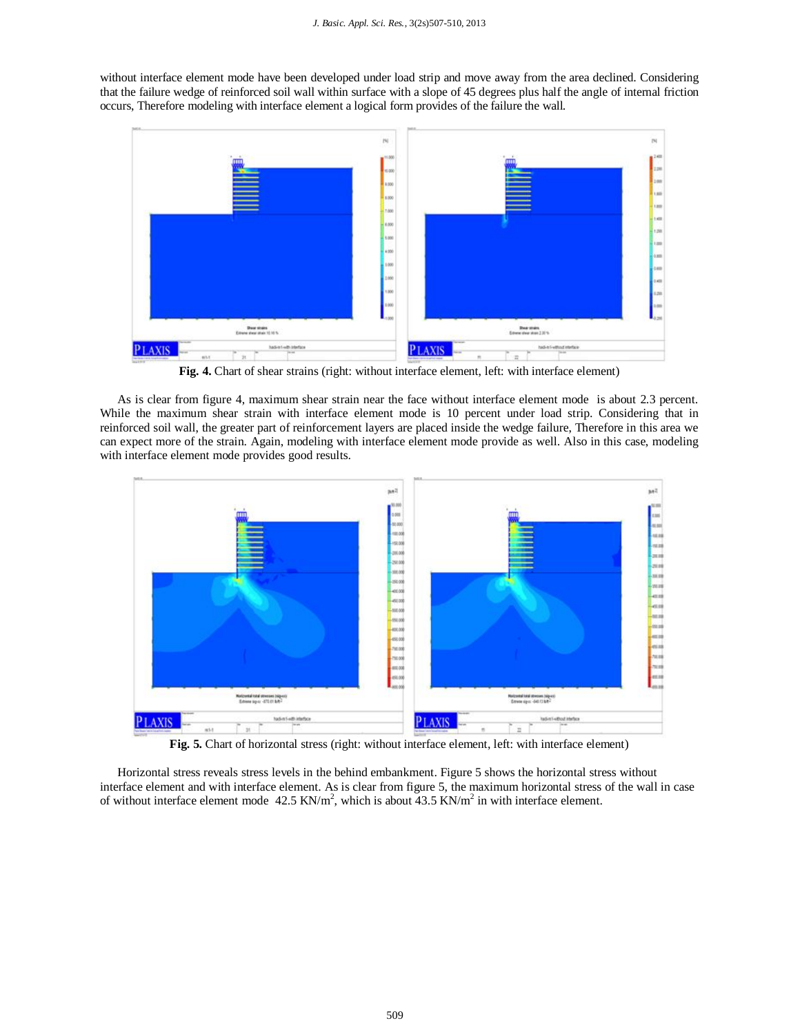without interface element mode have been developed under load strip and move away from the area declined. Considering that the failure wedge of reinforced soil wall within surface with a slope of 45 degrees plus half the angle of internal friction occurs, Therefore modeling with interface element a logical form provides of the failure the wall.



**Fig. 4.** Chart of shear strains (right: without interface element, left: with interface element)

As is clear from figure 4, maximum shear strain near the face without interface element mode is about 2.3 percent. While the maximum shear strain with interface element mode is 10 percent under load strip. Considering that in reinforced soil wall, the greater part of reinforcement layers are placed inside the wedge failure, Therefore in this area we can expect more of the strain. Again, modeling with interface element mode provide as well. Also in this case, modeling with interface element mode provides good results.



**Fig. 5.** Chart of horizontal stress (right: without interface element, left: with interface element)

Horizontal stress reveals stress levels in the behind embankment. Figure 5 shows the horizontal stress without interface element and with interface element. As is clear from figure 5, the maximum horizontal stress of the wall in case of without interface element mode  $42.5 \text{ KN/m}^2$ , which is about  $43.5 \text{ KN/m}^2$  in with interface element.